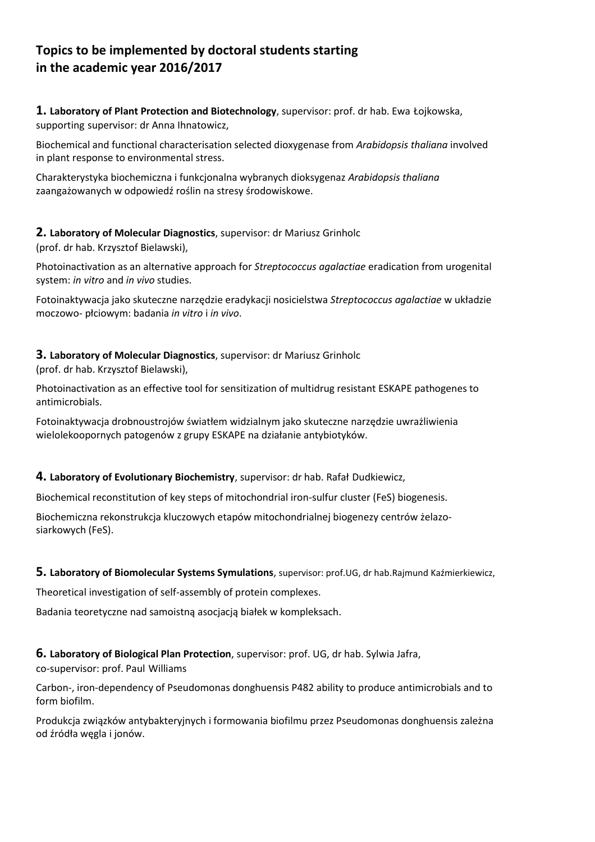# **Topics to be implemented by doctoral students starting in the academic year 2016/2017**

**1. Laboratory of Plant Protection and Biotechnology**, supervisor: prof. dr hab. Ewa Łojkowska, supporting supervisor: dr Anna Ihnatowicz,

Biochemical and functional characterisation selected dioxygenase from *Arabidopsis thaliana* involved in plant response to environmental stress.

Charakterystyka biochemiczna i funkcjonalna wybranych dioksygenaz *Arabidopsis thaliana* zaangażowanych w odpowiedź roślin na stresy środowiskowe.

#### **2. Laboratory of Molecular Diagnostics**, supervisor: dr Mariusz Grinholc

(prof. dr hab. Krzysztof Bielawski),

Photoinactivation as an alternative approach for *Streptococcus agalactiae* eradication from urogenital system: *in vitro* and *in vivo* studies.

Fotoinaktywacja jako skuteczne narzędzie eradykacji nosicielstwa *Streptococcus agalactiae* w układzie moczowo‐ płciowym: badania *in vitro* i *in vivo*.

# **3. Laboratory of Molecular Diagnostics**, supervisor: dr Mariusz Grinholc

(prof. dr hab. Krzysztof Bielawski),

Photoinactivation as an effective tool for sensitization of multidrug resistant ESKAPE pathogenes to antimicrobials.

Fotoinaktywacja drobnoustrojów światłem widzialnym jako skuteczne narzędzie uwrażliwienia wielolekoopornych patogenów z grupy ESKAPE na działanie antybiotyków.

## **4. Laboratory of Evolutionary Biochemistry**, supervisor: dr hab. Rafał Dudkiewicz,

Biochemical reconstitution of key steps of mitochondrial iron‐sulfur cluster (FeS) biogenesis.

Biochemiczna rekonstrukcja kluczowych etapów mitochondrialnej biogenezy centrów żelazo‐ siarkowych (FeS).

#### **5. Laboratory of Biomolecular Systems Symulations**, supervisor: prof.UG, dr hab.Rajmund Kaźmierkiewicz,

Theoretical investigation of self‐assembly of protein complexes.

Badania teoretyczne nad samoistną asocjacją białek w kompleksach.

#### **6. Laboratory of Biological Plan Protection**, supervisor: prof. UG, dr hab. Sylwia Jafra,

co‐supervisor: prof. Paul Williams

Carbon‐, iron‐dependency of Pseudomonas donghuensis P482 ability to produce antimicrobials and to form biofilm.

Produkcja związków antybakteryjnych i formowania biofilmu przez Pseudomonas donghuensis zależna od źródła węgla i jonów.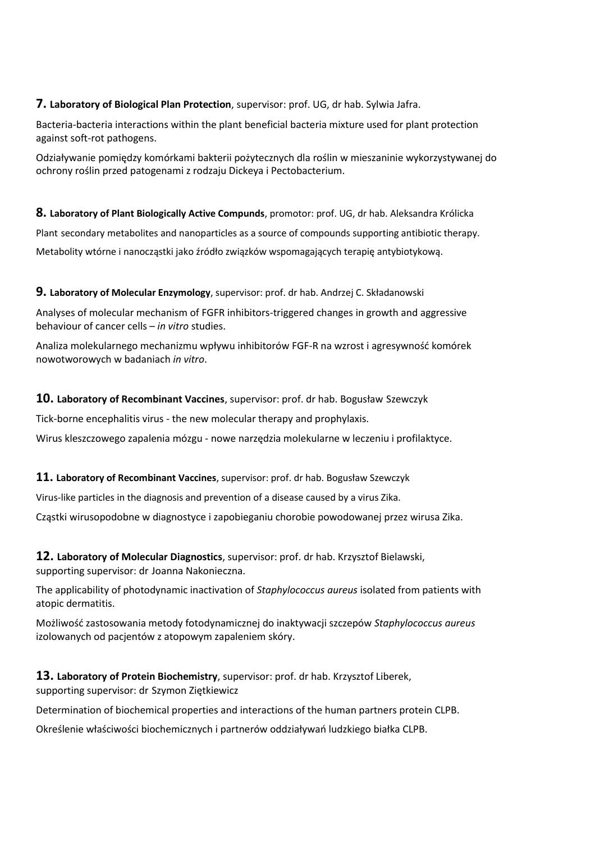#### **7. Laboratory of Biological Plan Protection**, supervisor: prof. UG, dr hab. Sylwia Jafra.

Bacteria‐bacteria interactions within the plant beneficial bacteria mixture used for plant protection against soft‐rot pathogens.

Odziaływanie pomiędzy komórkami bakterii pożytecznych dla roślin w mieszaninie wykorzystywanej do ochrony roślin przed patogenami z rodzaju Dickeya i Pectobacterium.

#### **8. Laboratory of Plant Biologically Active Compunds**, promotor: prof. UG, dr hab. Aleksandra Królicka

Plant secondary metabolites and nanoparticles as a source of compounds supporting antibiotic therapy.

Metabolity wtórne i nanocząstki jako źródło związków wspomagających terapię antybiotykową.

#### **9. Laboratory of Molecular Enzymology**, supervisor: prof. dr hab. Andrzej C. Składanowski

Analyses of molecular mechanism of FGFR inhibitors‐triggered changes in growth and aggressive behaviour of cancer cells – *in vitro* studies.

Analiza molekularnego mechanizmu wpływu inhibitorów FGF‐R na wzrost i agresywność komórek nowotworowych w badaniach *in vitro*.

#### **10. Laboratory of Recombinant Vaccines**, supervisor: prof. dr hab. Bogusław Szewczyk

Tick‐borne encephalitis virus ‐ the new molecular therapy and prophylaxis.

Wirus kleszczowego zapalenia mózgu ‐ nowe narzędzia molekularne w leczeniu i profilaktyce.

#### **11. Laboratory of Recombinant Vaccines**, supervisor: prof. dr hab. Bogusław Szewczyk

Virus‐like particles in the diagnosis and prevention of a disease caused by a virus Zika.

Cząstki wirusopodobne w diagnostyce i zapobieganiu chorobie powodowanej przez wirusa Zika.

**12. Laboratory of Molecular Diagnostics**, supervisor: prof. dr hab. Krzysztof Bielawski, supporting supervisor: dr Joanna Nakonieczna.

The applicability of photodynamic inactivation of *Staphylococcus aureus* isolated from patients with atopic dermatitis.

Możliwość zastosowania metody fotodynamicznej do inaktywacji szczepów *Staphylococcus aureus* izolowanych od pacjentów z atopowym zapaleniem skóry.

# **13. Laboratory of Protein Biochemistry**, supervisor: prof. dr hab. Krzysztof Liberek, supporting supervisor: dr Szymon Ziętkiewicz

Determination of biochemical properties and interactions of the human partners protein CLPB.

Określenie właściwości biochemicznych i partnerów oddziaływań ludzkiego białka CLPB.